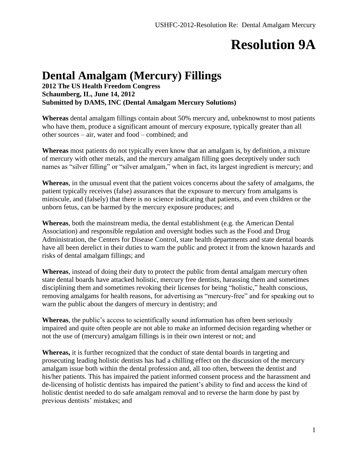# **Resolution 9A**

#### **Dental Amalgam (Mercury) Fillings**

**2012 The US Health Freedom Congress Schaumberg, IL, June 14, 2012 Submitted by DAMS, INC (Dental Amalgam Mercury Solutions)**

**Whereas** dental amalgam fillings contain about 50% mercury and, unbeknownst to most patients who have them, produce a significant amount of mercury exposure, typically greater than all other sources – air, water and food – combined; and

**Whereas** most patients do not typically even know that an amalgam is, by definition, a mixture of mercury with other metals, and the mercury amalgam filling goes deceptively under such names as "silver filling" or "silver amalgam," when in fact, its largest ingredient is mercury; and

**Whereas**, in the unusual event that the patient voices concerns about the safety of amalgams, the patient typically receives (false) assurances that the exposure to mercury from amalgams is miniscule, and (falsely) that there is no science indicating that patients, and even children or the unborn fetus, can be harmed by the mercury exposure produces; and

**Whereas**, both the mainstream media, the dental establishment (e.g. the American Dental Association) and responsible regulation and oversight bodies such as the Food and Drug Administration, the Centers for Disease Control, state health departments and state dental boards have all been derelict in their duties to warn the public and protect it from the known hazards and risks of dental amalgam fillings; and

**Whereas**, instead of doing their duty to protect the public from dental amalgam mercury often state dental boards have attacked holistic, mercury free dentists, harassing them and sometimes disciplining them and sometimes revoking their licenses for being "holistic," health conscious, removing amalgams for health reasons, for advertising as "mercury-free" and for speaking out to warn the public about the dangers of mercury in dentistry; and

**Whereas**, the public's access to scientifically sound information has often been seriously impaired and quite often people are not able to make an informed decision regarding whether or not the use of (mercury) amalgam fillings is in their own interest or not; and

**Whereas,** it is further recognized that the conduct of state dental boards in targeting and prosecuting leading holistic dentists has had a chilling effect on the discussion of the mercury amalgam issue both within the dental profession and, all too often, between the dentist and his/her patients. This has impaired the patient informed consent process and the harassment and de-licensing of holistic dentists has impaired the patient's ability to find and access the kind of holistic dentist needed to do safe amalgam removal and to reverse the harm done by past by previous dentists' mistakes; and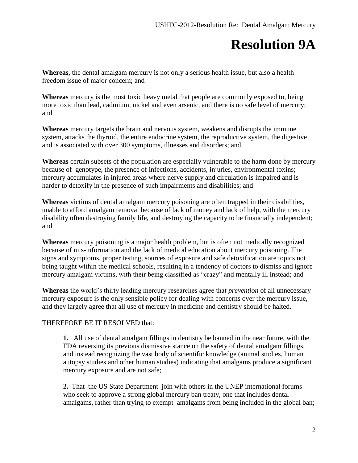## **Resolution 9A**

**Whereas,** the dental amalgam mercury is not only a serious health issue, but also a health freedom issue of major concern; and

**Whereas** mercury is the most toxic heavy metal that people are commonly exposed to, being more toxic than lead, cadmium, nickel and even arsenic, and there is no safe level of mercury; and

**Whereas** mercury targets the brain and nervous system, weakens and disrupts the immune system, attacks the thyroid, the entire endocrine system, the reproductive system, the digestive and is associated with over 300 symptoms, illnesses and disorders; and

**Whereas** certain subsets of the population are especially vulnerable to the harm done by mercury because of genotype, the presence of infections, accidents, injuries, environmental toxins; mercury accumulates in injured areas where nerve supply and circulation is impaired and is harder to detoxify in the presence of such impairments and disabilities; and

**Whereas** victims of dental amalgam mercury poisoning are often trapped in their disabilities, unable to afford amalgam removal because of lack of money and lack of help, with the mercury disability often destroying family life, and destroying the capacity to be financially independent; and

**Whereas** mercury poisoning is a major health problem, but is often not medically recognized because of mis-information and the lack of medical education about mercury poisoning. The signs and symptoms, proper testing, sources of exposure and safe detoxification are topics not being taught within the medical schools, resulting in a tendency of doctors to dismiss and ignore mercury amalgam victims, with their being classified as "crazy" and mentally ill instead; and

**Whereas** the world's thirty leading mercury researches agree that *prevention* of all unnecessary mercury exposure is the only sensible policy for dealing with concerns over the mercury issue, and they largely agree that all use of mercury in medicine and dentistry should be halted.

#### THEREFORE BE IT RESOLVED that:

**1.** All use of dental amalgam fillings in dentistry be banned in the near future, with the FDA reversing its previous dismissive stance on the safety of dental amalgam fillings, and instead recognizing the vast body of scientific knowledge (animal studies, human autopsy studies and other human studies) indicating that amalgams produce a significant mercury exposure and are not safe;

**2.** That the US State Department join with others in the UNEP international forums who seek to approve a strong global mercury ban treaty, one that includes dental amalgams, rather than trying to exempt amalgams from being included in the global ban;